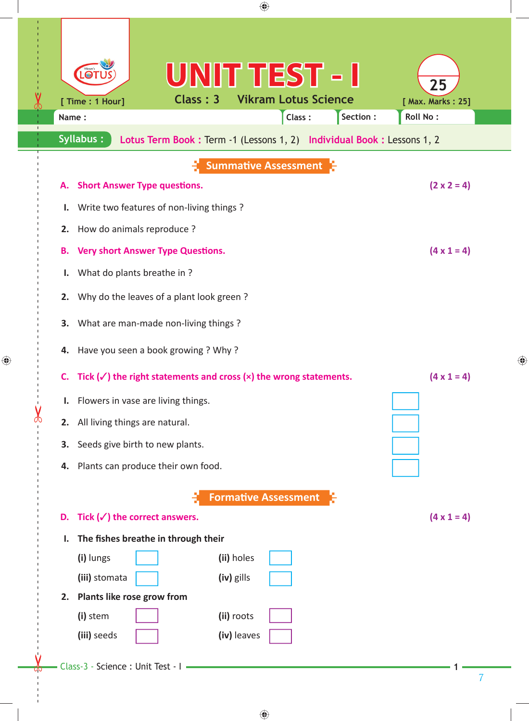| ⊕                                                                                                                                                                                                                                                      |   |  |  |  |  |  |
|--------------------------------------------------------------------------------------------------------------------------------------------------------------------------------------------------------------------------------------------------------|---|--|--|--|--|--|
| UNIT TEST - I<br>LO1<br>25<br>Class: 3<br><b>Vikram Lotus Science</b><br>[ Time : 1 Hour]<br>[ Max. Marks: 25]<br>Class:<br>Section:<br>Roll No:<br>Name:<br><b>Syllabus:</b><br>Lotus Term Book: Term -1 (Lessons 1, 2) Individual Book: Lessons 1, 2 |   |  |  |  |  |  |
| <b>Summative Assessment</b>                                                                                                                                                                                                                            |   |  |  |  |  |  |
| $(2 \times 2 = 4)$<br><b>Short Answer Type questions.</b><br>А.                                                                                                                                                                                        |   |  |  |  |  |  |
| Write two features of non-living things?<br>ı.                                                                                                                                                                                                         |   |  |  |  |  |  |
| How do animals reproduce?<br>2.                                                                                                                                                                                                                        |   |  |  |  |  |  |
| $(4 \times 1 = 4)$<br><b>Very short Answer Type Questions.</b><br>Β.                                                                                                                                                                                   |   |  |  |  |  |  |
| What do plants breathe in?<br>ı.                                                                                                                                                                                                                       |   |  |  |  |  |  |
| Why do the leaves of a plant look green?<br>2.                                                                                                                                                                                                         |   |  |  |  |  |  |
| What are man-made non-living things?<br>3.                                                                                                                                                                                                             |   |  |  |  |  |  |
| Have you seen a book growing ? Why ?<br>4.                                                                                                                                                                                                             |   |  |  |  |  |  |
| Tick $(\checkmark)$ the right statements and cross $(x)$ the wrong statements.<br>$(4 \times 1 = 4)$<br>C.                                                                                                                                             |   |  |  |  |  |  |
| Flowers in vase are living things.<br>Ι.                                                                                                                                                                                                               |   |  |  |  |  |  |
| All living things are natural.<br>2.                                                                                                                                                                                                                   |   |  |  |  |  |  |
| 3. Seeds give birth to new plants.                                                                                                                                                                                                                     |   |  |  |  |  |  |
| 4. Plants can produce their own food.                                                                                                                                                                                                                  |   |  |  |  |  |  |
| <b>Formative Assessment</b>                                                                                                                                                                                                                            |   |  |  |  |  |  |
| D. Tick $(\checkmark)$ the correct answers.<br>$(4 \times 1 = 4)$                                                                                                                                                                                      |   |  |  |  |  |  |
| The fishes breathe in through their<br>ı.                                                                                                                                                                                                              |   |  |  |  |  |  |
| (ii) holes<br>(i) lungs                                                                                                                                                                                                                                |   |  |  |  |  |  |
| (iii) stomata<br>(iv) gills                                                                                                                                                                                                                            |   |  |  |  |  |  |
| 2. Plants like rose grow from                                                                                                                                                                                                                          |   |  |  |  |  |  |
| (i) stem<br>(ii) roots                                                                                                                                                                                                                                 |   |  |  |  |  |  |
| (iii) seeds<br>(iv) leaves                                                                                                                                                                                                                             |   |  |  |  |  |  |
| Class-3 - Science : Unit Test - I                                                                                                                                                                                                                      |   |  |  |  |  |  |
|                                                                                                                                                                                                                                                        | 7 |  |  |  |  |  |
|                                                                                                                                                                                                                                                        |   |  |  |  |  |  |

 $\bigoplus$ 

 $\bigoplus$